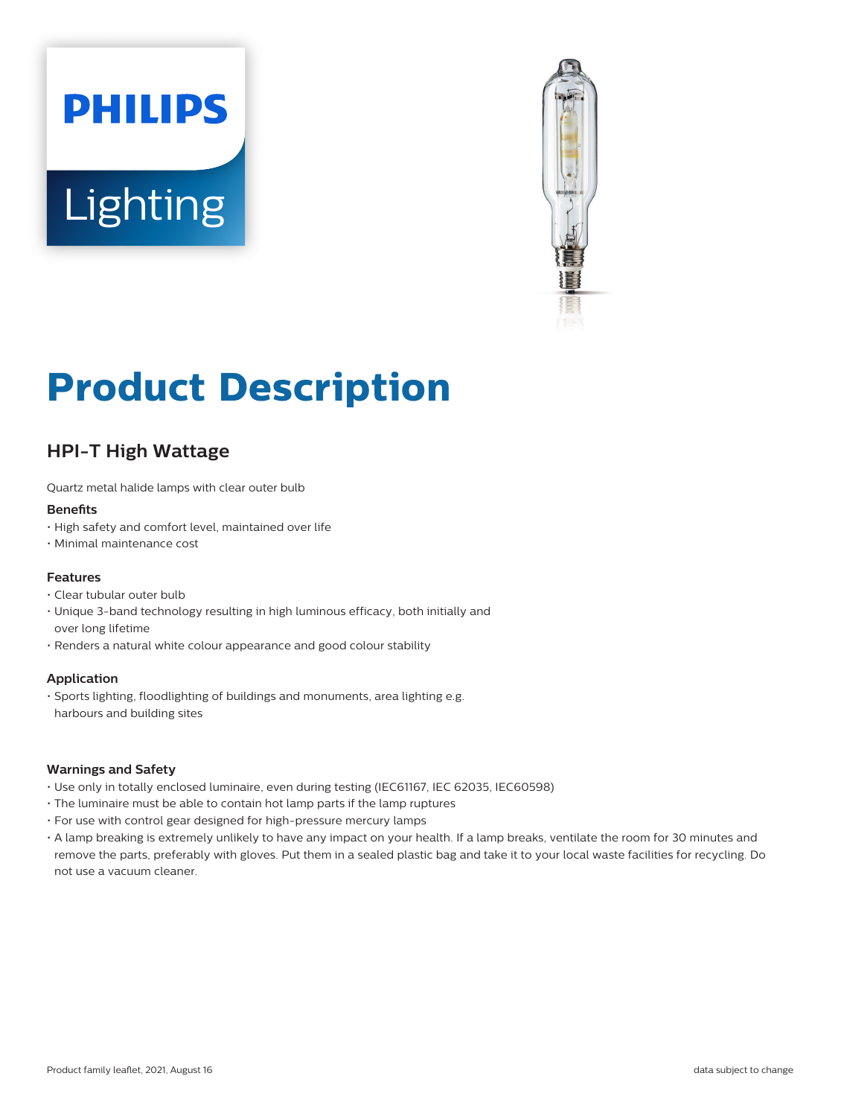



# **Product Description**

# **HPI-T High Wattage**

Quartz metal halide lamps with clear outer bulb

#### **Benefits**

- High safety and comfort level, maintained over life
- Minimal maintenance cost

## **Features**

- Clear tubular outer bulb
- Unique 3-band technology resulting in high luminous efficacy, both initially and over long lifetime
- Renders a natural white colour appearance and good colour stability

### **Application**

• Sports lighting, floodlighting of buildings and monuments, area lighting e.g. harbours and building sites

### **Warnings and Safety**

- Use only in totally enclosed luminaire, even during testing (IEC61167, IEC 62035, IEC60598)
- The luminaire must be able to contain hot lamp parts if the lamp ruptures
- For use with control gear designed for high-pressure mercury lamps
- A lamp breaking is extremely unlikely to have any impact on your health. If a lamp breaks, ventilate the room for 30 minutes and remove the parts, preferably with gloves. Put them in a sealed plastic bag and take it to your local waste facilities for recycling. Do not use a vacuum cleaner.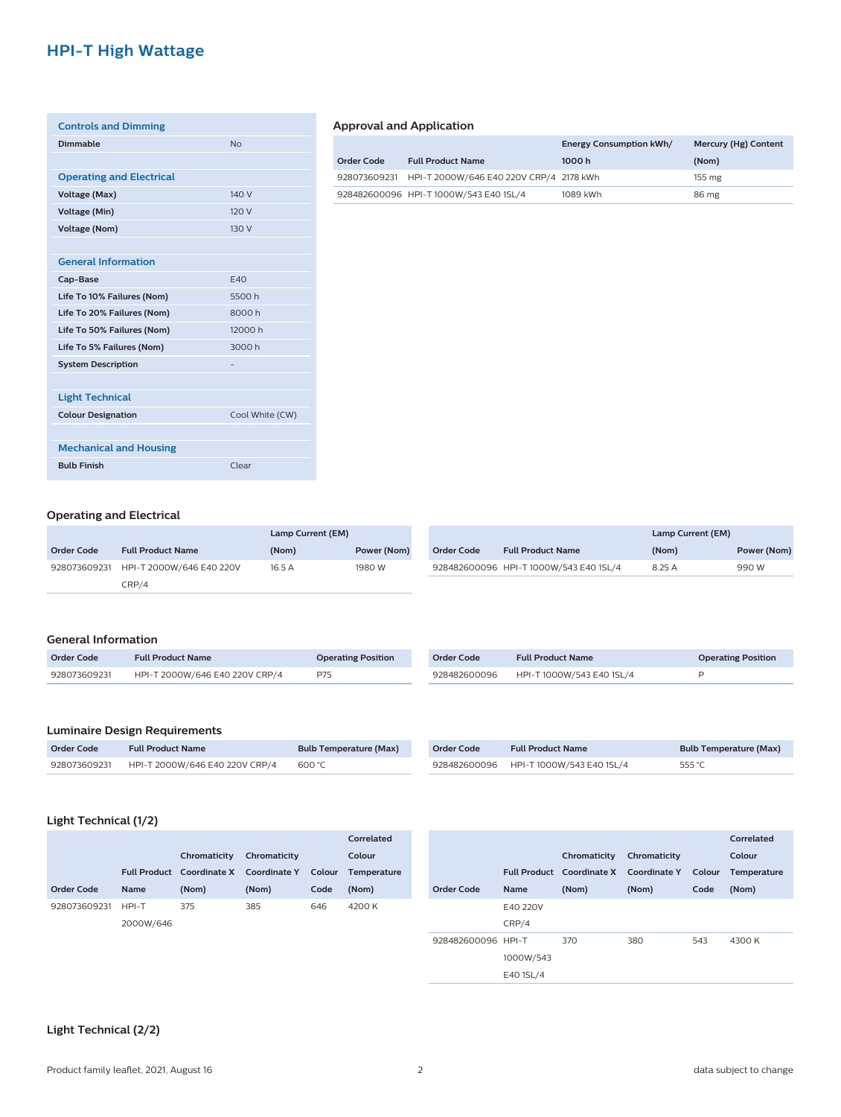# **HPI-T High Wattage**

| <b>Controls and Dimming</b>     |                 |
|---------------------------------|-----------------|
| Dimmable                        | <b>No</b>       |
|                                 |                 |
| <b>Operating and Electrical</b> |                 |
| <b>Voltage (Max)</b>            | 140 V           |
| <b>Voltage (Min)</b>            | 120 V           |
| <b>Voltage (Nom)</b>            | 130 V           |
|                                 |                 |
| <b>General Information</b>      |                 |
| Cap-Base                        | F40             |
| Life To 10% Failures (Nom)      | 5500h           |
| Life To 20% Failures (Nom)      | 8000 h          |
| Life To 50% Failures (Nom)      | 12000 h         |
| Life To 5% Failures (Nom)       | 3000h           |
| <b>System Description</b>       |                 |
|                                 |                 |
| <b>Light Technical</b>          |                 |
| <b>Colour Designation</b>       | Cool White (CW) |
|                                 |                 |
| <b>Mechanical and Housing</b>   |                 |
| <b>Bulb Finish</b>              | Clear           |
|                                 |                 |

# **Approval and Application**

|            |                                                      | <b>Energy Consumption kWh/</b> | Mercury (Hg) Content |
|------------|------------------------------------------------------|--------------------------------|----------------------|
| Order Code | <b>Full Product Name</b>                             | 1000 h                         | (Nom)                |
|            | 928073609231 HPI-T 2000W/646 E40 220V CRP/4 2178 kWh |                                | $155 \text{ mg}$     |
|            | 928482600096 HPI-T1000W/543 E40 1SL/4                | 1089 kWh                       | 86 mg                |

## **Operating and Electrical**

|                   |                                       | Lamp Current (EM) |             |
|-------------------|---------------------------------------|-------------------|-------------|
| <b>Order Code</b> | <b>Full Product Name</b>              | (Nom)             | Power (Nom) |
|                   | 928073609231 HPI-T 2000W/646 E40 220V | 16.5A             | 1980 W      |
|                   | CRP/4                                 |                   |             |

|            |                                        | Lamp Current (EM) |             |
|------------|----------------------------------------|-------------------|-------------|
| Order Code | <b>Full Product Name</b>               | (Nom)             | Power (Nom) |
|            | 928482600096 HPI-T 1000W/543 E40 1SL/4 | 8.25 A            | 990 W       |

#### **General Information**

| Order Code   | <b>Full Product Name</b>       | <b>Operating Position</b> |
|--------------|--------------------------------|---------------------------|
| 928073609231 | HPI-T 2000W/646 E40 220V CRP/4 | P75                       |

| Order Code   | <b>Full Product Name</b>  | <b>Operating Position</b> |
|--------------|---------------------------|---------------------------|
| 928482600096 | HPI-T 1000W/543 E40 1SL/4 |                           |

# **Luminaire Design Requirements**

| <b>Order Code</b> | <b>Full Product Name</b>       | <b>Bulb Temperature (Max)</b> |
|-------------------|--------------------------------|-------------------------------|
| 928073609231      | HPI-T 2000W/646 E40 220V CRP/4 | 600 °C                        |

| Order Code   | <b>Full Product Name</b>  | <b>Bulb Temperature (Max)</b> |
|--------------|---------------------------|-------------------------------|
| 928482600096 | HPI-T 1000W/543 E40 1SL/4 | 555 °C                        |

## **Light Technical (1/2)**

|              |             |                           |                     |        | Correlated         |
|--------------|-------------|---------------------------|---------------------|--------|--------------------|
|              |             | Chromaticity              | Chromaticity        |        | Colour             |
|              |             | Full Product Coordinate X | <b>Coordinate Y</b> | Colour | <b>Temperature</b> |
| Order Code   | <b>Name</b> | (Nom)                     | (Nom)               | Code   | (Nom)              |
| 928073609231 | HPI-T       | 375                       | 385                 | 646    | 4200 K             |
|              | 2000W/646   |                           |                     |        |                    |
|              |             |                           |                     |        |                    |

|                    |             |                                        |              |        | Correlated  |
|--------------------|-------------|----------------------------------------|--------------|--------|-------------|
|                    |             | Chromaticity                           | Chromaticity |        | Colour      |
|                    |             | Full Product Coordinate X Coordinate Y |              | Colour | Temperature |
| Order Code         | <b>Name</b> | (Nom)                                  | (Nom)        | Code   | (Nom)       |
|                    | F40 220V    |                                        |              |        |             |
|                    | CRP/4       |                                        |              |        |             |
| 928482600096 HPI-T |             | 370                                    | 380          | 543    | 4300 K      |
|                    | 1000W/543   |                                        |              |        |             |
|                    | E40 1SL/4   |                                        |              |        |             |

#### **Light Technical (2/2)**